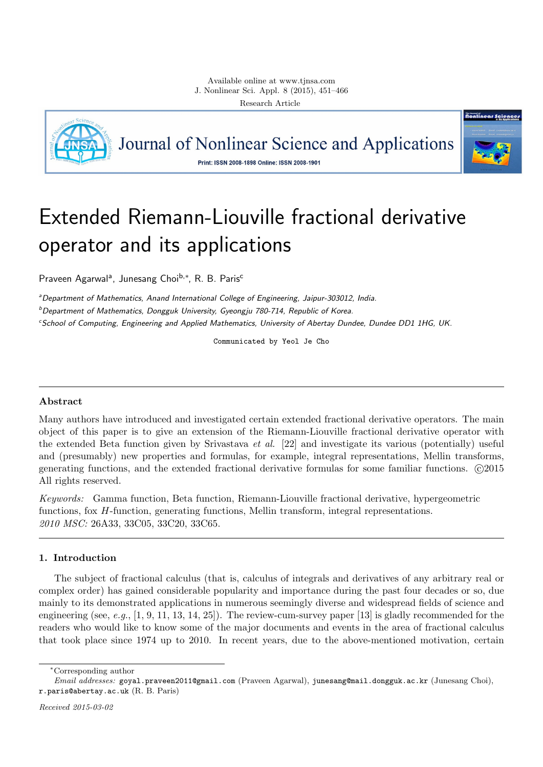

Journal of Nonlinear Science and Applications



Print: ISSN 2008-1898 Online: ISSN 2008-1901

# Extended Riemann-Liouville fractional derivative operator and its applications

Praveen Agarwal<sup>a</sup>, Junesang Choi<sup>b,</sup>\*, R. B. Paris<sup>c</sup>

*<sup>a</sup>Department of Mathematics, Anand International College of Engineering, Jaipur-303012, India. <sup>b</sup>Department of Mathematics, Dongguk University, Gyeongju 780-714, Republic of Korea.*

*<sup>c</sup>School of Computing, Engineering and Applied Mathematics, University of Abertay Dundee, Dundee DD1 1HG, UK.*

Communicated by Yeol Je Cho

# **Abstract**

Many authors have introduced and investigated certain extended fractional derivative operators. The main object of this paper is to give an extension of the Riemann-Liouville fractional derivative operator with the extended Beta function given by Srivastava *et al.* [22] and investigate its various (potentially) useful and (presumably) new properties and formulas, for example, integral representations, Mellin transforms, generating functions, and the extended fractional derivative formulas for some familiar functions.  $\odot$ 2015 All rights reserved.

*Keywords:* Gamma function, Beta function, Riemann-Liouville fractional derivative, hypergeometric functions, fox *H*-function, generating functions, Mellin transform, integral representations. *2010 MSC:* 26A33, 33C05, 33C20, 33C65.

# **1. Introduction**

The subject of fractional calculus (that is, calculus of integrals and derivatives of any arbitrary real or complex order) has gained considerable popularity and importance during the past four decades or so, due mainly to its demonstrated applications in numerous seemingly diverse and widespread fields of science and engineering (see, *e.g.*, [1, 9, 11, 13, 14, 25]). The review-cum-survey paper [13] is gladly recommended for the readers who would like to know some of the major documents and events in the area of fractional calculus that took place since 1974 up to 2010. In recent years, due to the above-mentioned motivation, certain

*<sup>∗</sup>*Corresponding author

*Email addresses:* goyal.praveen2011@gmail.com (Praveen Agarwal), junesang@mail.dongguk.ac.kr (Junesang Choi), r.paris@abertay.ac.uk (R. B. Paris)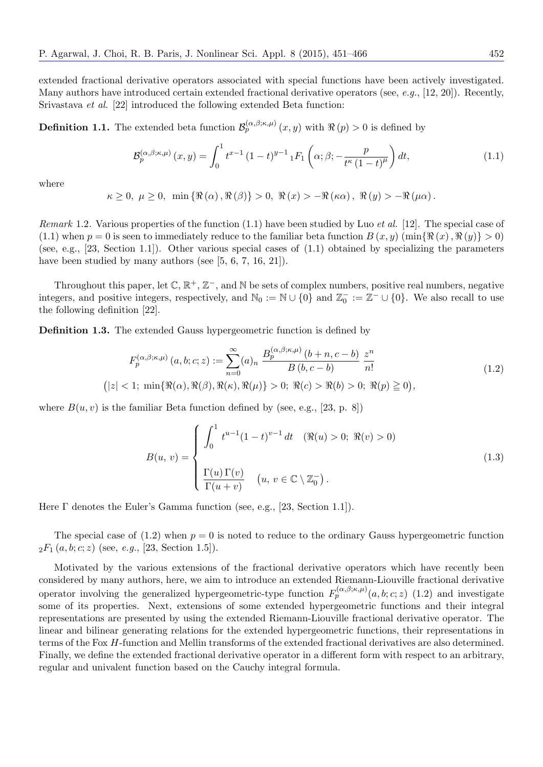extended fractional derivative operators associated with special functions have been actively investigated. Many authors have introduced certain extended fractional derivative operators (see, *e.g.*, [12, 20]). Recently, Srivastava *et al.* [22] introduced the following extended Beta function:

**Definition 1.1.** The extended beta function  $\mathcal{B}_{p}^{(\alpha,\beta;\kappa,\mu)}(x,y)$  with  $\Re(p) > 0$  is defined by

$$
\mathcal{B}_{p}^{(\alpha,\beta;\kappa,\mu)}(x,y) = \int_{0}^{1} t^{x-1} (1-t)^{y-1} {}_{1}F_{1}\left(\alpha;\beta; -\frac{p}{t^{\kappa}(1-t)^{\mu}}\right) dt, \tag{1.1}
$$

where

$$
\kappa \geq 0, \ \mu \geq 0, \ \min \left\{ \Re\left(\alpha\right), \Re\left(\beta\right) \right\} > 0, \ \Re\left(x\right) > -\Re\left(\kappa \alpha\right), \ \Re\left(y\right) > -\Re\left(\mu \alpha\right).
$$

*Remark* 1.2*.* Various properties of the function (1.1) have been studied by Luo *et al.* [12]. The special case of (1.1) when  $p = 0$  is seen to immediately reduce to the familiar beta function  $B(x, y)$  (min $\{\Re(x), \Re(y)\} > 0$ ) (see, e.g., [23, Section 1.1]). Other various special cases of (1.1) obtained by specializing the parameters have been studied by many authors (see [5, 6, 7, 16, 21]).

Throughout this paper, let  $\mathbb{C}, \mathbb{R}^+, \mathbb{Z}^-,$  and  $\mathbb N$  be sets of complex numbers, positive real numbers, negative integers, and positive integers, respectively, and  $\mathbb{N}_0 := \mathbb{N} \cup \{0\}$  and  $\mathbb{Z}_0^- := \mathbb{Z}^- \cup \{0\}$ . We also recall to use the following definition [22].

**Definition 1.3.** The extended Gauss hypergeometric function is defined by

$$
F_p^{(\alpha,\beta;\kappa,\mu)}(a,b;c;z) := \sum_{n=0}^{\infty} (a)_n \frac{B_p^{(\alpha,\beta;\kappa,\mu)}(b+n,c-b)}{B(b,c-b)} \frac{z^n}{n!}
$$
  
(|z| < 1; min{ $\Re(\alpha), \Re(\beta), \Re(\kappa), \Re(\mu)$ } > 0;  $\Re(c) > \Re(b) > 0$ ;  $\Re(p) \ge 0$ ), (1.2)

where  $B(u, v)$  is the familiar Beta function defined by (see, e.g., [23, p. 8])

$$
B(u, v) = \begin{cases} \int_0^1 t^{u-1} (1-t)^{v-1} dt & (\Re(u) > 0; \ \Re(v) > 0) \\ \frac{\Gamma(u) \Gamma(v)}{\Gamma(u+v)} & (u, v \in \mathbb{C} \setminus \mathbb{Z}_0^-). \end{cases}
$$
(1.3)

Here Γ denotes the Euler's Gamma function (see, e.g., [23, Section 1.1]).

The special case of  $(1.2)$  when  $p = 0$  is noted to reduce to the ordinary Gauss hypergeometric function  ${}_2F_1(a, b; c; z)$  (see, *e.g.*, [23, Section 1.5]).

Motivated by the various extensions of the fractional derivative operators which have recently been considered by many authors, here, we aim to introduce an extended Riemann-Liouville fractional derivative operator involving the generalized hypergeometric-type function  $F_p^{(\alpha,\beta;\kappa,\mu)}(a,b;c;z)$  (1.2) and investigate some of its properties. Next, extensions of some extended hypergeometric functions and their integral representations are presented by using the extended Riemann-Liouville fractional derivative operator. The linear and bilinear generating relations for the extended hypergeometric functions, their representations in terms of the Fox *H*-function and Mellin transforms of the extended fractional derivatives are also determined. Finally, we define the extended fractional derivative operator in a different form with respect to an arbitrary, regular and univalent function based on the Cauchy integral formula.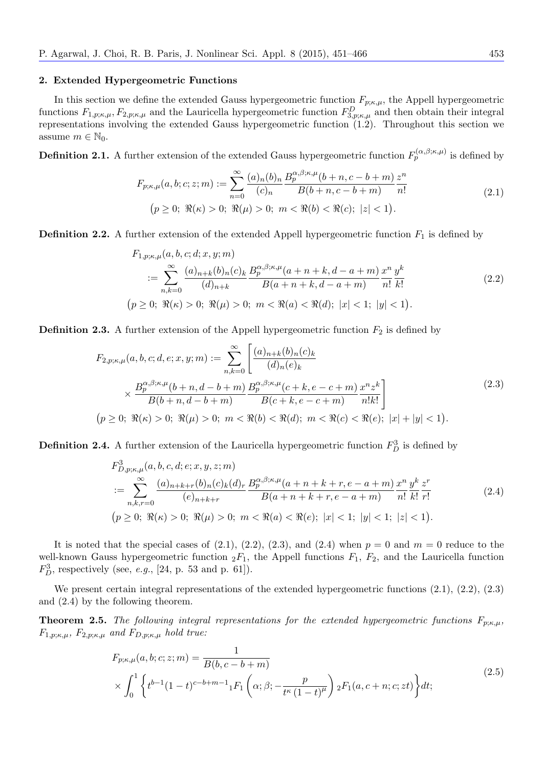## **2. Extended Hypergeometric Functions**

In this section we define the extended Gauss hypergeometric function  $F_{p;\kappa,\mu}$ , the Appell hypergeometric functions  $F_{1,p;\kappa,\mu}$ ,  $F_{2,p;\kappa,\mu}$  and the Lauricella hypergeometric function  $F_{3,p;\kappa,\mu}^D$  and then obtain their integral representations involving the extended Gauss hypergeometric function (1.2). Throughout this section we assume  $m \in \mathbb{N}_0$ .

**Definition 2.1.** A further extension of the extended Gauss hypergeometric function  $F_p^{(\alpha,\beta;\kappa,\mu)}$  is defined by

$$
F_{p;\kappa,\mu}(a,b;c;z;m) := \sum_{n=0}^{\infty} \frac{(a)_n (b)_n}{(c)_n} \frac{B_p^{\alpha,\beta;\kappa,\mu}(b+n,c-b+m)}{B(b+n,c-b+m)} \frac{z^n}{n!}
$$
  
(2.1)  
 $(p \ge 0; \ \Re(\kappa) > 0; \ \Re(\mu) > 0; \ m < \Re(b) < \Re(c); \ |z| < 1).$ 

**Definition 2.2.** A further extension of the extended Appell hypergeometric function  $F_1$  is defined by

$$
F_{1,p;\kappa,\mu}(a,b,c;d;x,y;m)
$$
  
\n
$$
:= \sum_{n,k=0}^{\infty} \frac{(a)_{n+k}(b)_n(c)_k}{(d)_{n+k}} \frac{B_p^{\alpha,\beta;\kappa,\mu}(a+n+k,d-a+m)}{B(a+n+k,d-a+m)} \frac{x^n}{n!} \frac{y^k}{k!}
$$
  
\n
$$
(p \ge 0; \ \Re(\kappa) > 0; \ \Re(\mu) > 0; \ m < \Re(a) < \Re(d); \ |x| < 1; \ |y| < 1).
$$
 (2.2)

**Definition 2.3.** A further extension of the Appell hypergeometric function  $F_2$  is defined by

$$
F_{2,p;\kappa,\mu}(a,b,c;d,e;x,y;m) := \sum_{n,k=0}^{\infty} \left[ \frac{(a)_{n+k}(b)_n(c)_k}{(d)_n(e)_k} \times \frac{B_p^{\alpha,\beta;\kappa,\mu}(b+n,d-b+m)}{B(b+n,d-b+m)} \frac{B_p^{\alpha,\beta;\kappa,\mu}(c+k,e-c+m)}{B(c+k,e-c+m)} \frac{x^n z^k}{n!k!} \right]
$$
\n
$$
(p \ge 0; \ \Re(\kappa) > 0; \ \Re(\mu) > 0; \ m < \Re(b) < \Re(d); \ m < \Re(c) < \Re(e); \ |x| + |y| < 1).
$$
\n
$$
(2.3)
$$

**Definition 2.4.** A further extension of the Lauricella hypergeometric function  $F_D^3$  is defined by

$$
F_{D,p;\kappa,\mu}^{3}(a,b,c,d;e;x,y,z;m)
$$
  
\n
$$
:= \sum_{n,k,r=0}^{\infty} \frac{(a)_{n+k+r}(b)_n(c)_k(d)_r}{(e)_{n+k+r}} \frac{B_p^{\alpha,\beta;\kappa,\mu}(a+n+k+r,e-a+m)}{B(a+n+k+r,e-a+m)} \frac{x^n}{n!} \frac{y^k}{k!} \frac{z^r}{r!}
$$
  
\n
$$
(p \ge 0; \ \Re(\kappa) > 0; \ \Re(\mu) > 0; \ m < \Re(a) < \Re(e); \ |x| < 1; \ |y| < 1; \ |z| < 1).
$$
 (2.4)

It is noted that the special cases of  $(2.1)$ ,  $(2.2)$ ,  $(2.3)$ , and  $(2.4)$  when  $p = 0$  and  $m = 0$  reduce to the well-known Gauss hypergeometric function  ${}_2F_1$ , the Appell functions  $F_1$ ,  $F_2$ , and the Lauricella function  $F_D^3$ , respectively (see, *e.g.*, [24, p. 53 and p. 61]).

We present certain integral representations of the extended hypergeometric functions  $(2.1)$ ,  $(2.2)$ ,  $(2.3)$ and (2.4) by the following theorem.

**Theorem 2.5.** *The following integral representations for the extended hypergeometric functions*  $F_{p;\kappa,\mu}$ ,  $F_{1,p;\kappa,\mu}$ *,*  $F_{2,p;\kappa,\mu}$  and  $F_{D,p;\kappa,\mu}$  hold true:

$$
F_{p;\kappa,\mu}(a,b;c;z;m) = \frac{1}{B(b,c-b+m)}
$$
  
\$\times \int\_0^1 \left\{ t^{b-1} (1-t)^{c-b+m-1} {}\_1F\_1\left(\alpha;\beta; -\frac{p}{t^{\kappa} (1-t)^{\mu}}\right) {}\_2F\_1(a,c+n;c;zt) \right\} dt\$; \n
$$
(2.5)
$$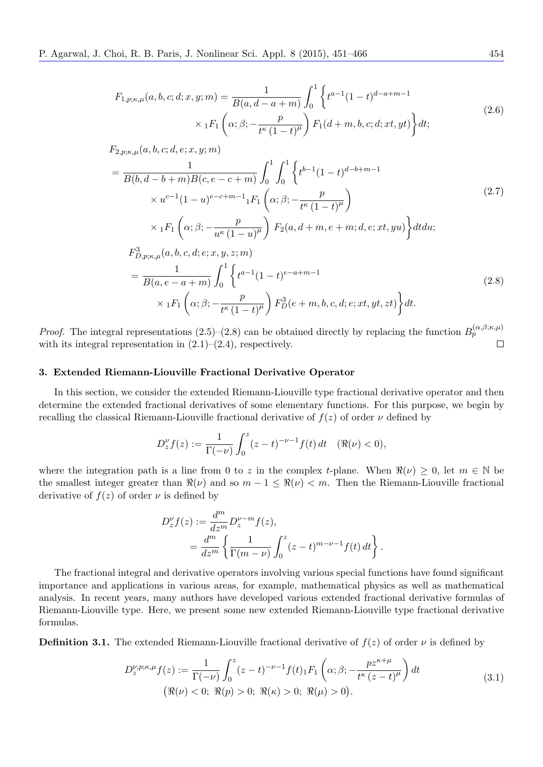$$
F_{1,p;\kappa,\mu}(a,b,c;d;x,y;m) = \frac{1}{B(a,d-a+m)} \int_0^1 \left\{ t^{a-1} (1-t)^{d-a+m-1} \times {}_{1}F_{1}\left(\alpha;\beta;-\frac{p}{t^{\kappa}(1-t)^{\mu}}\right) F_{1}(d+m,b,c;d;xt,yt) \right\} dt; \tag{2.6}
$$

*F*2*,p*;*κ,µ*(*a, b, c*; *d, e*; *x, y*; *m*)

$$
= \frac{1}{B(b,d-b+m)B(c,e-c+m)} \int_0^1 \int_0^1 \left\{ t^{b-1} (1-t)^{d-b+m-1} \times u^{c-1} (1-u)^{e-c+m-1} {}_1F_1 \left( \alpha; \beta; -\frac{p}{t^{\kappa} (1-t)^{\mu}} \right) \right\}
$$
  
\n
$$
\times {}_1F_1 \left( \alpha; \beta; -\frac{p}{u^{\kappa} (1-u)^{\mu}} \right) F_2(a,d+m,e+m;d,e;xt,yu) \right\} dt du;
$$
  
\n
$$
F_{D,p;\kappa,\mu}^3(a,b,c,d;e;x,y,z;m)
$$
  
\n
$$
= \frac{1}{B(a,e-a+m)} \int_0^1 \left\{ t^{a-1} (1-t)^{e-a+m-1} \right\} (2.8)
$$

$$
B(a, e - a + m) \int_0^{\infty} \binom{1}{t} e^{i\theta} \left( 2 \right)
$$
  
 
$$
\times {}_1F_1\left(\alpha; \beta; -\frac{p}{t^{\kappa}(1-t)^{\mu}}\right) F_D^3(e + m, b, c, d; e; xt, yt, zt) \Big\} dt.
$$
 (2.3)

*Proof.* The integral representations (2.5)–(2.8) can be obtained directly by replacing the function  $B_p^{(\alpha,\beta;\kappa,\mu)}$ with its integral representation in  $(2.1)$ – $(2.4)$ , respectively.  $\Box$ 

## **3. Extended Riemann-Liouville Fractional Derivative Operator**

In this section, we consider the extended Riemann-Liouville type fractional derivative operator and then determine the extended fractional derivatives of some elementary functions. For this purpose, we begin by recalling the classical Riemann-Liouville fractional derivative of  $f(z)$  of order  $\nu$  defined by

$$
D_z^{\nu} f(z) := \frac{1}{\Gamma(-\nu)} \int_0^z (z - t)^{-\nu - 1} f(t) dt \quad (\Re(\nu) < 0),
$$

where the integration path is a line from 0 to *z* in the complex *t*-plane. When  $\Re(\nu) \geq 0$ , let  $m \in \mathbb{N}$  be the smallest integer greater than  $\Re(\nu)$  and so  $m-1 \leq \Re(\nu) \leq m$ . Then the Riemann-Liouville fractional derivative of  $f(z)$  of order  $\nu$  is defined by

$$
\begin{split} D_z^\nu f(z) &:= \frac{d^m}{dz^m} D_z^{\nu-m} f(z), \\ & = \frac{d^m}{dz^m} \left\{ \frac{1}{\Gamma(m-\nu)} \int_0^z (z-t)^{m-\nu-1} f(t) \, dt \right\}. \end{split}
$$

The fractional integral and derivative operators involving various special functions have found significant importance and applications in various areas, for example, mathematical physics as well as mathematical analysis. In recent years, many authors have developed various extended fractional derivative formulas of Riemann-Liouville type. Here, we present some new extended Riemann-Liouville type fractional derivative formulas.

**Definition 3.1.** The extended Riemann-Liouville fractional derivative of  $f(z)$  of order  $\nu$  is defined by

$$
D_z^{\nu, p; \kappa, \mu} f(z) := \frac{1}{\Gamma(-\nu)} \int_0^z (z - t)^{-\nu - 1} f(t) \, dF_1\left(\alpha; \beta; -\frac{pz^{\kappa + \mu}}{t^{\kappa}(z - t)^{\mu}}\right) dt
$$
  

$$
(\Re(\nu) < 0; \ \Re(p) > 0; \ \Re(\kappa) > 0; \ \Re(\mu) > 0).
$$
\n
$$
(3.1)
$$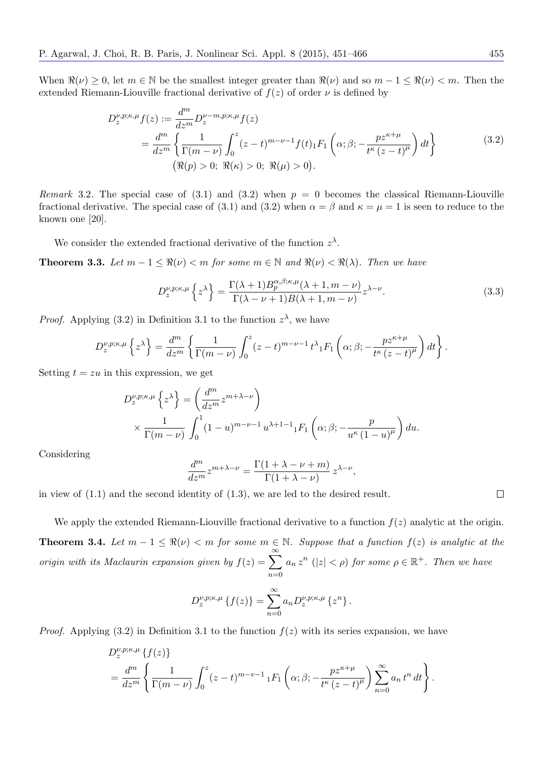When  $\Re(\nu) \geq 0$ , let  $m \in \mathbb{N}$  be the smallest integer greater than  $\Re(\nu)$  and so  $m-1 \leq \Re(\nu) < m$ . Then the extended Riemann-Liouville fractional derivative of  $f(z)$  of order  $\nu$  is defined by

$$
D_{z}^{\nu,p;\kappa,\mu}f(z) := \frac{d^{m}}{dz^{m}} D_{z}^{\nu-m,p;\kappa,\mu}f(z)
$$
  
= 
$$
\frac{d^{m}}{dz^{m}} \left\{ \frac{1}{\Gamma(m-\nu)} \int_{0}^{z} (z-t)^{m-\nu-1} f(t) \, d\mu \right\}
$$
  

$$
(\Re(p) > 0; \ \Re(\kappa) > 0; \ \Re(\mu) > 0).
$$
 (3.2)

*Remark* 3.2. The special case of (3.1) and (3.2) when  $p = 0$  becomes the classical Riemann-Liouville fractional derivative. The special case of (3.1) and (3.2) when  $\alpha = \beta$  and  $\kappa = \mu = 1$  is seen to reduce to the known one [20].

We consider the extended fractional derivative of the function  $z^{\lambda}$ .

**Theorem 3.3.** *Let*  $m-1 \leq \Re(\nu) < m$  *for some*  $m \in \mathbb{N}$  *and*  $\Re(\nu) < \Re(\lambda)$ *. Then we have* 

$$
D_z^{\nu,p;\kappa,\mu} \left\{ z^{\lambda} \right\} = \frac{\Gamma(\lambda+1) B_p^{\alpha,\beta;\kappa,\mu}(\lambda+1, m-\nu)}{\Gamma(\lambda-\nu+1)B(\lambda+1, m-\nu)} z^{\lambda-\nu}.
$$
 (3.3)

*Proof.* Applying (3.2) in Definition 3.1 to the function  $z^{\lambda}$ , we have

$$
D_z^{\nu,p;\kappa,\mu}\left\{z^{\lambda}\right\} = \frac{d^m}{dz^m}\left\{\frac{1}{\Gamma(m-\nu)}\int_0^z (z-t)^{m-\nu-1} t^{\lambda}{}_1F_1\left(\alpha;\beta;-\frac{pz^{\kappa+\mu}}{t^{\kappa}(z-t)^{\mu}}\right)dt\right\}.
$$

Setting  $t = zu$  in this expression, we get

$$
D_z^{\nu,p;\kappa,\mu} \left\{ z^{\lambda} \right\} = \left( \frac{d^m}{dz^m} z^{m+\lambda-\nu} \right)
$$
  
 
$$
\times \frac{1}{\Gamma(m-\nu)} \int_0^1 (1-u)^{m-\nu-1} u^{\lambda+1-1} {}_1F_1 \left( \alpha; \beta; -\frac{p}{u^{\kappa} (1-u)^{\mu}} \right) du.
$$

Considering

$$
\frac{d^m}{dz^m} z^{m+\lambda-\nu} = \frac{\Gamma(1+\lambda-\nu+m)}{\Gamma(1+\lambda-\nu)} z^{\lambda-\nu},
$$

in view of (1.1) and the second identity of (1.3), we are led to the desired result.

We apply the extended Riemann-Liouville fractional derivative to a function  $f(z)$  analytic at the origin. **Theorem 3.4.** *Let*  $m − 1 ≤ ℜ(ν) < m$  *for some*  $m ∈ ℕ$ *. Suppose that a function*  $f(z)$  *is analytic at the origin with its Maclaurin expansion given by*  $f(z) = \sum_{n=0}^{\infty}$ *n*=0  $a_n z^n$  (|*z*|  $\lt \rho$ ) *for some*  $\rho \in \mathbb{R}^+$ *. Then we have* 

$$
D_z^{\nu,p;\kappa,\mu}\left\{f(z)\right\} = \sum_{n=0}^{\infty} a_n D_z^{\nu,p;\kappa,\mu}\left\{z^n\right\}.
$$

*Proof.* Applying  $(3.2)$  in Definition 3.1 to the function  $f(z)$  with its series expansion, we have

$$
D_z^{\nu,p;\kappa,\mu} \left\{ f(z) \right\}
$$
  
= 
$$
\frac{d^m}{dz^m} \left\{ \frac{1}{\Gamma(m-\nu)} \int_0^z (z-t)^{m-\nu-1} {}_1F_1 \left( \alpha; \beta; -\frac{p z^{\kappa+\mu}}{t^{\kappa} (z-t)^{\mu}} \right) \sum_{n=0}^{\infty} a_n t^n dt \right\}.
$$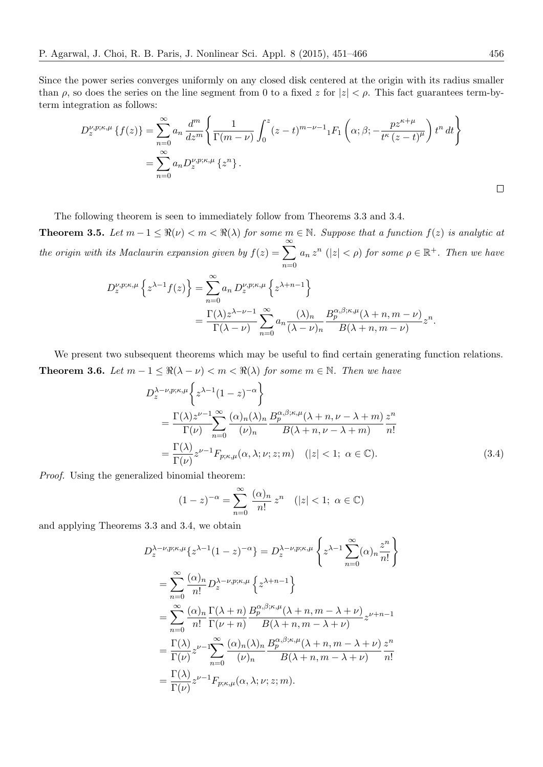Since the power series converges uniformly on any closed disk centered at the origin with its radius smaller than  $\rho$ , so does the series on the line segment from 0 to a fixed *z* for  $|z| < \rho$ . This fact guarantees term-byterm integration as follows:

$$
D_z^{\nu,p;\kappa,\mu}\left\{f(z)\right\} = \sum_{n=0}^{\infty} a_n \frac{d^m}{dz^m} \left\{ \frac{1}{\Gamma(m-\nu)} \int_0^z (z-t)^{m-\nu-1} {}_1F_1\left(\alpha;\beta; -\frac{pz^{\kappa+\mu}}{t^{\kappa}(z-t)^{\mu}}\right) t^n dt \right\}
$$
  

$$
= \sum_{n=0}^{\infty} a_n D_z^{\nu,p;\kappa,\mu}\left\{z^n\right\}.
$$

The following theorem is seen to immediately follow from Theorems 3.3 and 3.4.

**Theorem 3.5.** Let  $m-1 \leq \Re(\nu) < m < \Re(\lambda)$  for some  $m \in \mathbb{N}$ . Suppose that a function  $f(z)$  is analytic at *the origin with its Maclaurin expansion given by*  $f(z) = \sum_{n=0}^{\infty}$ *n*=0  $a_n z^n$  (| $z$ |  $\lt \rho$ ) *for some*  $\rho \in \mathbb{R}^+$ *. Then we have* 

$$
D_z^{\nu,p;\kappa,\mu} \left\{ z^{\lambda-1} f(z) \right\} = \sum_{n=0}^{\infty} a_n D_z^{\nu,p;\kappa,\mu} \left\{ z^{\lambda+n-1} \right\}
$$
  
= 
$$
\frac{\Gamma(\lambda) z^{\lambda-\nu-1}}{\Gamma(\lambda-\nu)} \sum_{n=0}^{\infty} a_n \frac{(\lambda)_n}{(\lambda-\nu)_n} \frac{B_p^{\alpha,\beta;\kappa,\mu}(\lambda+n, m-\nu)}{B(\lambda+n, m-\nu)} z^n.
$$

We present two subsequent theorems which may be useful to find certain generating function relations. **Theorem 3.6.** *Let*  $m-1 \leq \Re(\lambda - \nu) < m < \Re(\lambda)$  *for some*  $m \in \mathbb{N}$ *. Then we have* 

$$
D_z^{\lambda-\nu,p;\kappa,\mu} \left\{ z^{\lambda-1} (1-z)^{-\alpha} \right\}
$$
  
= 
$$
\frac{\Gamma(\lambda) z^{\nu-1} \sum_{n=0}^{\infty} (\alpha)_n (\lambda)_n}{\Gamma(\nu)} \frac{B_p^{\alpha,\beta;\kappa,\mu} (\lambda+n, \nu-\lambda+m)}{B(\lambda+n, \nu-\lambda+m)} \frac{z^n}{n!}
$$
  
= 
$$
\frac{\Gamma(\lambda)}{\Gamma(\nu)} z^{\nu-1} F_{p;\kappa,\mu}(\alpha,\lambda;\nu;z;m) \quad (|z| < 1; \ \alpha \in \mathbb{C}).
$$
 (3.4)

*Proof.* Using the generalized binomial theorem:

$$
(1-z)^{-\alpha} = \sum_{n=0}^{\infty} \frac{(\alpha)_n}{n!} z^n \quad (|z| < 1; \ \alpha \in \mathbb{C})
$$

and applying Theorems 3.3 and 3.4, we obtain

$$
D_z^{\lambda-\nu,p;\kappa,\mu}\left\{z^{\lambda-1}(1-z)^{-\alpha}\right\} = D_z^{\lambda-\nu,p;\kappa,\mu}\left\{z^{\lambda-1}\sum_{n=0}^{\infty}(\alpha)_n\frac{z^n}{n!}\right\}
$$
  
\n
$$
= \sum_{n=0}^{\infty}\frac{(\alpha)_n}{n!}D_z^{\lambda-\nu,p;\kappa,\mu}\left\{z^{\lambda+n-1}\right\}
$$
  
\n
$$
= \sum_{n=0}^{\infty}\frac{(\alpha)_n}{n!}\frac{\Gamma(\lambda+n)}{\Gamma(\nu+n)}\frac{B_p^{\alpha,\beta;\kappa,\mu}(\lambda+n,m-\lambda+\nu)}{B(\lambda+n,m-\lambda+\nu)}z^{\nu+n-1}
$$
  
\n
$$
= \frac{\Gamma(\lambda)}{\Gamma(\nu)}z^{\nu-1}\sum_{n=0}^{\infty}\frac{(\alpha)_n(\lambda)_n}{(\nu)_n}\frac{B_p^{\alpha,\beta;\kappa,\mu}(\lambda+n,m-\lambda+\nu)}{B(\lambda+n,m-\lambda+\nu)}\frac{z^n}{n!}
$$
  
\n
$$
= \frac{\Gamma(\lambda)}{\Gamma(\nu)}z^{\nu-1}F_{p;\kappa,\mu}(\alpha,\lambda;\nu;z;m).
$$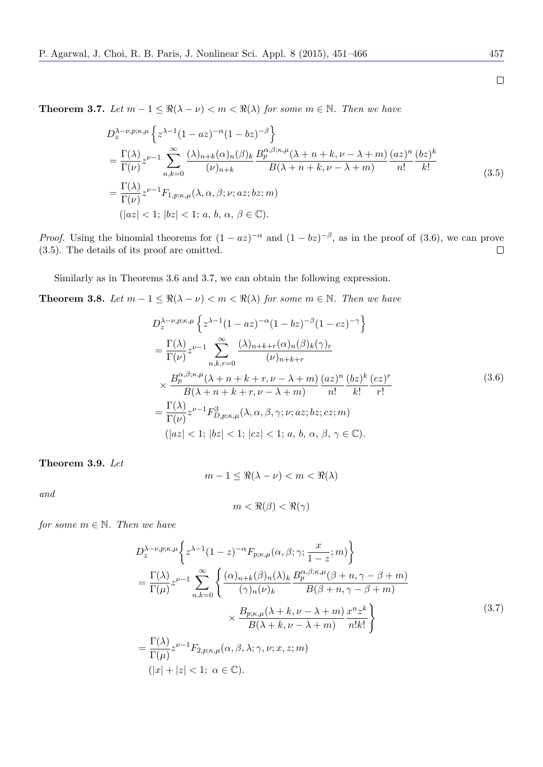**Theorem 3.7.** *Let*  $m-1 \leq \Re(\lambda - \nu) < m < \Re(\lambda)$  *for some*  $m \in \mathbb{N}$ *. Then we have* 

$$
D_z^{\lambda-\nu,p;\kappa,\mu} \left\{ z^{\lambda-1} (1 - az)^{-\alpha} (1 - bz)^{-\beta} \right\}
$$
  
= 
$$
\frac{\Gamma(\lambda)}{\Gamma(\nu)} z^{\nu-1} \sum_{n,k=0}^{\infty} \frac{(\lambda)_{n+k} (\alpha)_n (\beta)_k B_p^{\alpha,\beta;\kappa,\mu} (\lambda + n + k, \nu - \lambda + m)}{\beta(\lambda + n + k, \nu - \lambda + m)} \frac{(az)^n (bz)^k}{n!} \frac{(bz)^k}{k!}
$$
  
= 
$$
\frac{\Gamma(\lambda)}{\Gamma(\nu)} z^{\nu-1} F_{1,p;\kappa,\mu}(\lambda, \alpha, \beta; \nu; az; bz; m)
$$
  
(|az| < 1; |bz| < 1; a, b, \alpha, \beta \in \mathbb{C}). (4.2)

*Proof.* Using the binomial theorems for  $(1 - az)^{-\alpha}$  and  $(1 - bz)^{-\beta}$ , as in the proof of (3.6), we can prove (3.5). The details of its proof are omitted.  $\Box$ 

Similarly as in Theorems 3.6 and 3.7, we can obtain the following expression.

**Theorem 3.8.** *Let*  $m-1 \leq \Re(\lambda - \nu) < m < \Re(\lambda)$  *for some*  $m \in \mathbb{N}$ *. Then we have* 

$$
D_z^{\lambda-\nu,p;\kappa,\mu} \left\{ z^{\lambda-1} (1 - az)^{-\alpha} (1 - bz)^{-\beta} (1 - cz)^{-\gamma} \right\}
$$
  
\n
$$
= \frac{\Gamma(\lambda)}{\Gamma(\nu)} z^{\nu-1} \sum_{n,k,r=0}^{\infty} \frac{(\lambda)_{n+k+r} (\alpha)_n (\beta)_k (\gamma)_r}{(\nu)_{n+k+r}}
$$
  
\n
$$
\times \frac{B_p^{\alpha,\beta;\kappa,\mu} (\lambda + n + k + r, \nu - \lambda + m)}{B(\lambda + n + k + r, \nu - \lambda + m)} \frac{(az)^n (bz)^k (cz)^r}{n! k! r!}
$$
  
\n
$$
= \frac{\Gamma(\lambda)}{\Gamma(\nu)} z^{\nu-1} F_{D,p;\kappa,\mu}^3(\lambda, \alpha, \beta, \gamma; \nu; az; bz; cz; m)
$$
  
\n
$$
(|az| < 1; |bz| < 1; |cz| < 1; a, b, \alpha, \beta, \gamma \in \mathbb{C}).
$$

**Theorem 3.9.** *Let*

$$
m-1 \leq \Re(\lambda - \nu) < m < \Re(\lambda)
$$

*and*

$$
m < \Re(\beta) < \Re(\gamma)
$$

*for some*  $m \in \mathbb{N}$ *. Then we have* 

$$
D_z^{\lambda-\nu,p;\kappa,\mu} \left\{ z^{\lambda-1} (1-z)^{-\alpha} F_{p;\kappa,\mu}(\alpha,\beta;\gamma; \frac{x}{1-z};m) \right\}
$$
  
\n
$$
= \frac{\Gamma(\lambda)}{\Gamma(\mu)} z^{\nu-1} \sum_{n,k=0}^{\infty} \left\{ \frac{(\alpha)_{n+k}(\beta)_n(\lambda)_k}{(\gamma)_n(\nu)_k} \frac{B_p^{\alpha,\beta;\kappa,\mu}(\beta+n,\gamma-\beta+m)}{B(\beta+n,\gamma-\beta+m)} \right\}
$$
  
\n
$$
\times \frac{B_{p;\kappa,\mu}(\lambda+k,\nu-\lambda+m)}{B(\lambda+k,\nu-\lambda+m)} \frac{x^n z^k}{n!k!} \right\}
$$
  
\n
$$
= \frac{\Gamma(\lambda)}{\Gamma(\mu)} z^{\nu-1} F_{2,p;\kappa,\mu}(\alpha,\beta,\lambda;\gamma,\nu;x,z;m)
$$
  
\n
$$
(|x|+|z|<1; \alpha \in \mathbb{C}).
$$
  
\n(12)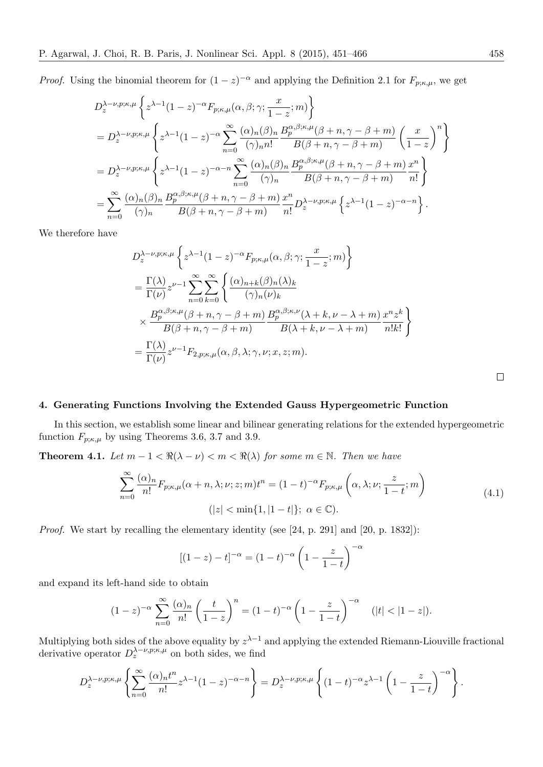*Proof.* Using the binomial theorem for  $(1-z)^{-\alpha}$  and applying the Definition 2.1 for  $F_{p;\kappa,\mu}$ , we get

$$
D_z^{\lambda-\nu,p;\kappa,\mu} \left\{ z^{\lambda-1} (1-z)^{-\alpha} F_{p;\kappa,\mu}(\alpha,\beta;\gamma; \frac{x}{1-z};m) \right\}
$$
  
=  $D_z^{\lambda-\nu,p;\kappa,\mu} \left\{ z^{\lambda-1} (1-z)^{-\alpha} \sum_{n=0}^{\infty} \frac{(\alpha)_n (\beta)_n}{(\gamma)_n n!} \frac{B_p^{\alpha,\beta;\kappa,\mu}(\beta+n,\gamma-\beta+m)}{B(\beta+n,\gamma-\beta+m)} \left(\frac{x}{1-z}\right)^n \right\}$   
=  $D_z^{\lambda-\nu,p;\kappa,\mu} \left\{ z^{\lambda-1} (1-z)^{-\alpha-n} \sum_{n=0}^{\infty} \frac{(\alpha)_n (\beta)_n}{(\gamma)_n} \frac{B_p^{\alpha,\beta;\kappa,\mu}(\beta+n,\gamma-\beta+m)}{B(\beta+n,\gamma-\beta+m)} \frac{x^n}{n!} \right\}$   
=  $\sum_{n=0}^{\infty} \frac{(\alpha)_n (\beta)_n}{(\gamma)_n} \frac{B_p^{\alpha,\beta;\kappa,\mu}(\beta+n,\gamma-\beta+m)}{B(\beta+n,\gamma-\beta+m)} \frac{x^n}{n!} D_z^{\lambda-\nu,p;\kappa,\mu} \left\{ z^{\lambda-1} (1-z)^{-\alpha-n} \right\}.$ 

We therefore have

$$
D_z^{\lambda-\nu,p;\kappa,\mu} \left\{ z^{\lambda-1} (1-z)^{-\alpha} F_{p;\kappa,\mu}(\alpha,\beta;\gamma; \frac{x}{1-z};m) \right\}
$$
  
=  $\frac{\Gamma(\lambda)}{\Gamma(\nu)} z^{\nu-1} \sum_{n=0}^{\infty} \sum_{k=0}^{\infty} \left\{ \frac{(\alpha)_{n+k}(\beta)_n(\lambda)_k}{(\gamma)_n(\nu)_k} \right.$   
 $\times \frac{B_p^{\alpha,\beta;\kappa,\mu}(\beta+n,\gamma-\beta+m)}{B(\beta+n,\gamma-\beta+m)} \frac{B_p^{\alpha,\beta;\kappa,\nu}(\lambda+k,\nu-\lambda+m)}{B(\lambda+k,\nu-\lambda+m)} \frac{x^nz^k}{n!k!} \right\}$   
=  $\frac{\Gamma(\lambda)}{\Gamma(\nu)} z^{\nu-1} F_{2,p;\kappa,\mu}(\alpha,\beta,\lambda;\gamma,\nu;x,z;m).$ 

 $\Box$ 

# **4. Generating Functions Involving the Extended Gauss Hypergeometric Function**

In this section, we establish some linear and bilinear generating relations for the extended hypergeometric function  $F_{p;\kappa,\mu}$  by using Theorems 3.6, 3.7 and 3.9.

**Theorem 4.1.** *Let*  $m-1 < \Re(\lambda - \nu) < m < \Re(\lambda)$  for some  $m \in \mathbb{N}$ . Then we have

$$
\sum_{n=0}^{\infty} \frac{(\alpha)_n}{n!} F_{p;\kappa,\mu}(\alpha+n,\lambda;\nu;z;m)t^n = (1-t)^{-\alpha} F_{p;\kappa,\mu}\left(\alpha,\lambda;\nu;\frac{z}{1-t};m\right)
$$
\n
$$
(|z| < \min\{1,|1-t|\}; \ \alpha \in \mathbb{C}).
$$
\n(4.1)

*Proof.* We start by recalling the elementary identity (see [24, p. 291] and [20, p. 1832]):

$$
[(1-z) - t]^{-\alpha} = (1-t)^{-\alpha} \left(1 - \frac{z}{1-t}\right)^{-\alpha}
$$

and expand its left-hand side to obtain

$$
(1-z)^{-\alpha} \sum_{n=0}^{\infty} \frac{(\alpha)_n}{n!} \left(\frac{t}{1-z}\right)^n = (1-t)^{-\alpha} \left(1 - \frac{z}{1-t}\right)^{-\alpha} \quad (|t| < |1-z|).
$$

Multiplying both sides of the above equality by *z <sup>λ</sup>−*<sup>1</sup> and applying the extended Riemann-Liouville fractional derivative operator  $D_z^{\lambda-\nu,p;\kappa,\mu}$  on both sides, we find

$$
D_z^{\lambda-\nu,p;\kappa,\mu}\left\{\sum_{n=0}^{\infty}\frac{(\alpha)_n t^n}{n!}z^{\lambda-1}(1-z)^{-\alpha-n}\right\}=D_z^{\lambda-\nu,p;\kappa,\mu}\left\{(1-t)^{-\alpha}z^{\lambda-1}\left(1-\frac{z}{1-t}\right)^{-\alpha}\right\}.
$$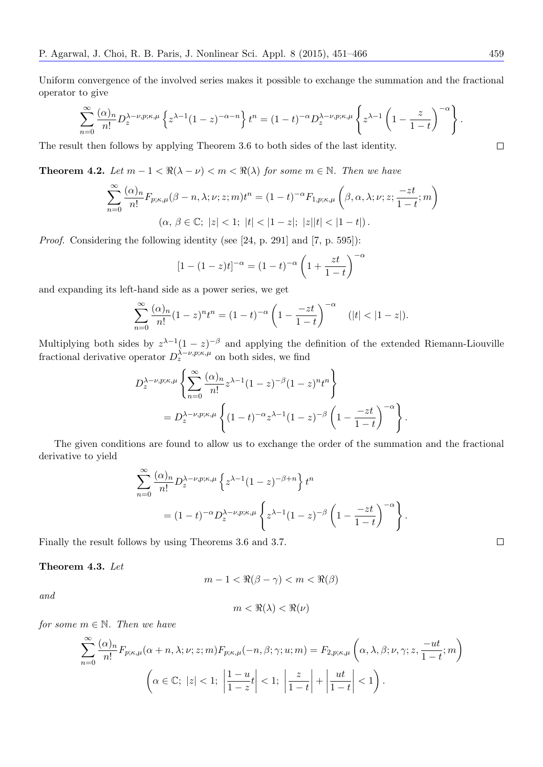Uniform convergence of the involved series makes it possible to exchange the summation and the fractional operator to give

$$
\sum_{n=0}^{\infty} \frac{(\alpha)_n}{n!} D_z^{\lambda-\nu,p;\kappa,\mu} \left\{ z^{\lambda-1} (1-z)^{-\alpha-n} \right\} t^n = (1-t)^{-\alpha} D_z^{\lambda-\nu,p;\kappa,\mu} \left\{ z^{\lambda-1} \left( 1 - \frac{z}{1-t} \right)^{-\alpha} \right\}.
$$

The result then follows by applying Theorem 3.6 to both sides of the last identity.

**Theorem 4.2.** Let  $m-1 < \Re(\lambda - \nu) < m < \Re(\lambda)$  for some  $m \in \mathbb{N}$ . Then we have

$$
\sum_{n=0}^{\infty} \frac{(\alpha)_n}{n!} F_{p;\kappa,\mu}(\beta - n, \lambda; \nu; z; m) t^n = (1 - t)^{-\alpha} F_{1,p;\kappa,\mu} \left(\beta, \alpha, \lambda; \nu; z; \frac{-zt}{1 - t}; m\right)
$$
  

$$
(\alpha, \beta \in \mathbb{C}; |z| < 1; |t| < |1 - z|; |z||t| < |1 - t|).
$$

*Proof.* Considering the following identity (see [24, p. 291] and [7, p. 595]):

$$
[1 - (1 - z)t]^{-\alpha} = (1 - t)^{-\alpha} \left(1 + \frac{zt}{1 - t}\right)^{-\alpha}
$$

and expanding its left-hand side as a power series, we get

$$
\sum_{n=0}^{\infty} \frac{(\alpha)_n}{n!} (1-z)^n t^n = (1-t)^{-\alpha} \left(1 - \frac{-zt}{1-t}\right)^{-\alpha} \quad (|t| < |1-z|).
$$

Multiplying both sides by  $z^{\lambda-1}(1-z)^{-\beta}$  and applying the definition of the extended Riemann-Liouville fractional derivative operator  $D_z^{\lambda-\nu,p;\kappa,\mu}$  on both sides, we find

$$
D_z^{\lambda-\nu,p;\kappa,\mu} \left\{ \sum_{n=0}^{\infty} \frac{(\alpha)_n}{n!} z^{\lambda-1} (1-z)^{-\beta} (1-z)^n t^n \right\}
$$
  
=  $D_z^{\lambda-\nu,p;\kappa,\mu} \left\{ (1-t)^{-\alpha} z^{\lambda-1} (1-z)^{-\beta} \left( 1 - \frac{-zt}{1-t} \right)^{-\alpha} \right\}$ 

The given conditions are found to allow us to exchange the order of the summation and the fractional derivative to yield

$$
\sum_{n=0}^{\infty} \frac{(\alpha)_n}{n!} D_z^{\lambda-\nu,p;\kappa,\mu} \left\{ z^{\lambda-1} (1-z)^{-\beta+n} \right\} t^n
$$
  
=  $(1-t)^{-\alpha} D_z^{\lambda-\nu,p;\kappa,\mu} \left\{ z^{\lambda-1} (1-z)^{-\beta} \left( 1 - \frac{-zt}{1-t} \right)^{-\alpha} \right\}.$ 

Finally the result follows by using Theorems 3.6 and 3.7.

**Theorem 4.3.** *Let*

$$
m-1 < \Re(\beta - \gamma) < m < \Re(\beta)
$$

*and*

$$
m < \Re(\lambda) < \Re(\nu)
$$

*for some*  $m \in \mathbb{N}$ *. Then we have* 

$$
\sum_{n=0}^{\infty} \frac{(\alpha)_n}{n!} F_{p;\kappa,\mu}(\alpha+n,\lambda;\nu;z;m) F_{p;\kappa,\mu}(-n,\beta;\gamma;u;m) = F_{2,p;\kappa,\mu}\left(\alpha,\lambda,\beta;\nu,\gamma;z,\frac{-ut}{1-t};m\right)
$$

$$
\left(\alpha \in \mathbb{C};\ |z| < 1;\ \left|\frac{1-u}{1-z}t\right| < 1;\ \left|\frac{z}{1-t}\right| + \left|\frac{ut}{1-t}\right| < 1\right).
$$

 $\Box$ 

 $\Box$ 

*.*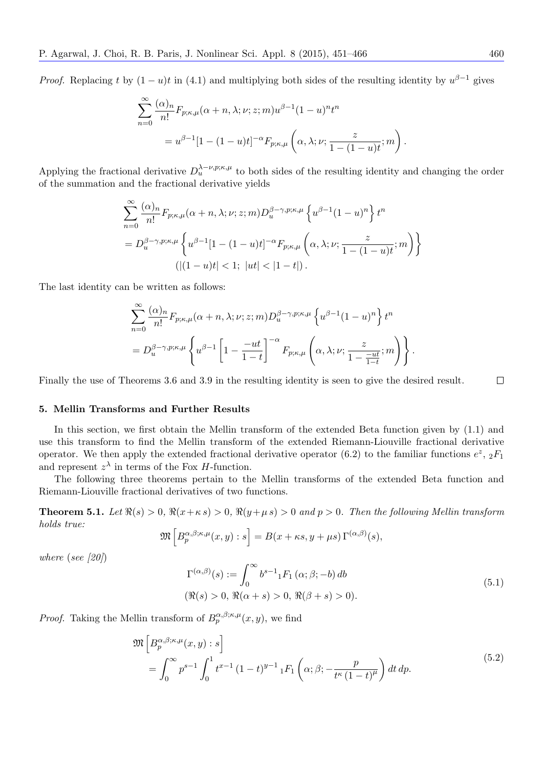*Proof.* Replacing *t* by  $(1 - u)t$  in  $(4.1)$  and multiplying both sides of the resulting identity by  $u^{\beta - 1}$  gives

$$
\sum_{n=0}^{\infty} \frac{(\alpha)_n}{n!} F_{p;\kappa,\mu}(\alpha+n,\lambda;\nu;z;m)u^{\beta-1}(1-u)^n t^n
$$
  
=  $u^{\beta-1}[1-(1-u)t]^{-\alpha} F_{p;\kappa,\mu}\left(\alpha,\lambda;\nu;\frac{z}{1-(1-u)t};m\right)$ 

Applying the fractional derivative  $D_u^{\lambda-\nu,p;\kappa,\mu}$  to both sides of the resulting identity and changing the order of the summation and the fractional derivative yields

$$
\sum_{n=0}^{\infty} \frac{(\alpha)_n}{n!} F_{p;\kappa,\mu}(\alpha+n,\lambda;\nu;z;m) D_u^{\beta-\gamma,p;\kappa,\mu} \left\{ u^{\beta-1} (1-u)^n \right\} t^n
$$
  
= 
$$
D_u^{\beta-\gamma,p;\kappa,\mu} \left\{ u^{\beta-1} [1-(1-u)t]^{-\alpha} F_{p;\kappa,\mu} \left( \alpha,\lambda;\nu; \frac{z}{1-(1-u)t};m \right) \right\}
$$
  

$$
(|(1-u)t| < 1; |ut| < |1-t|).
$$

The last identity can be written as follows:

$$
\sum_{n=0}^{\infty} \frac{(\alpha)_n}{n!} F_{p;\kappa,\mu}(\alpha+n,\lambda;\nu;z;m) D_u^{\beta-\gamma,p;\kappa,\mu} \left\{ u^{\beta-1} (1-u)^n \right\} t^n
$$
  
=  $D_u^{\beta-\gamma,p;\kappa,\mu} \left\{ u^{\beta-1} \left[ 1 - \frac{-ut}{1-t} \right]^{-\alpha} F_{p;\kappa,\mu} \left( \alpha,\lambda;\nu; \frac{z}{1 - \frac{-ut}{1-t}};m \right) \right\}.$ 

Finally the use of Theorems 3.6 and 3.9 in the resulting identity is seen to give the desired result.

#### **5. Mellin Transforms and Further Results**

In this section, we first obtain the Mellin transform of the extended Beta function given by (1.1) and use this transform to find the Mellin transform of the extended Riemann-Liouville fractional derivative operator. We then apply the extended fractional derivative operator  $(6.2)$  to the familiar functions  $e^z$ ,  ${}_2F_1$ and represent  $z^{\lambda}$  in terms of the Fox *H*-function.

The following three theorems pertain to the Mellin transforms of the extended Beta function and Riemann-Liouville fractional derivatives of two functions.

**Theorem 5.1.** Let  $\Re(s) > 0$ ,  $\Re(x+\kappa s) > 0$ ,  $\Re(y+\mu s) > 0$  and  $p > 0$ . Then the following Mellin transform *holds true:*

$$
\mathfrak{M}\left[B_p^{\alpha,\beta;\kappa,\mu}(x,y):s\right] = B(x+\kappa s,y+\mu s)\,\Gamma^{(\alpha,\beta)}(s),
$$

*where* (*see [20]*)

$$
\Gamma^{(\alpha,\beta)}(s) := \int_0^\infty b^{s-1} {}_1F_1(\alpha;\beta;-b) db
$$
  

$$
(\Re(s) > 0, \Re(\alpha+s) > 0, \Re(\beta+s) > 0).
$$
 (5.1)

*Proof.* Taking the Mellin transform of  $B_p^{\alpha,\beta;\kappa,\mu}(x, y)$ , we find

$$
\mathfrak{M}\left[B_{p}^{\alpha,\beta;\kappa,\mu}(x,y):s\right] = \int_{0}^{\infty} p^{s-1} \int_{0}^{1} t^{x-1} (1-t)^{y-1} {}_{1}F_{1}\left(\alpha;\beta;-\frac{p}{t^{\kappa}(1-t)^{\mu}}\right) dt \, dp.
$$
\n(5.2)

 $\Box$ 

*.*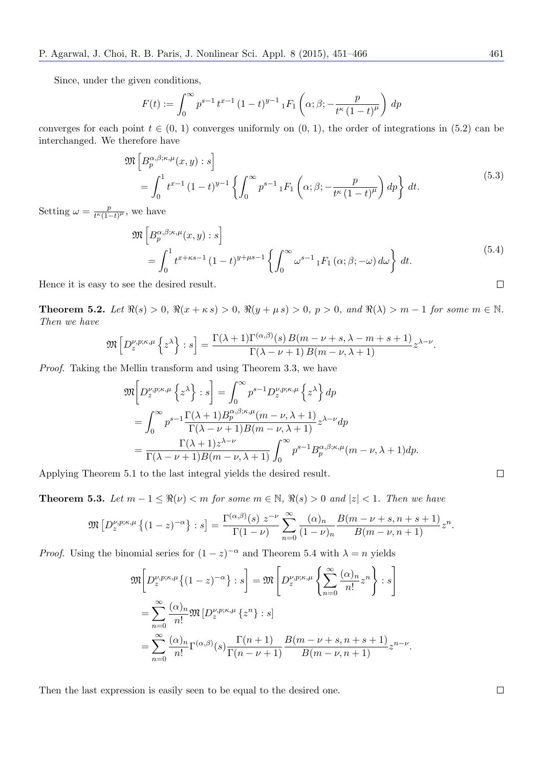Since, under the given conditions,

$$
F(t) := \int_0^\infty p^{s-1} t^{x-1} (1-t)^{y-1} {}_1F_1\left(\alpha; \beta; -\frac{p}{t^{\kappa} (1-t)^{\mu}}\right) dp
$$

converges for each point  $t \in (0, 1)$  converges uniformly on  $(0, 1)$ , the order of integrations in  $(5.2)$  can be interchanged. We therefore have

$$
\mathfrak{M}\left[B_p^{\alpha,\beta;\kappa,\mu}(x,y):s\right]
$$
\n
$$
=\int_0^1 t^{x-1} (1-t)^{y-1} \left\{ \int_0^\infty p^{s-1} \, {}_1F_1\left(\alpha;\beta;-\frac{p}{t^{\kappa}(1-t)^{\mu}}\right) dp \right\} dt.
$$
\n
$$
(5.3)
$$

Setting  $\omega = \frac{p}{\mu \kappa}$  $\frac{p}{t^{\kappa}(1-t)^{\mu}},$  we have

$$
\mathfrak{M}\left[B_{p}^{\alpha,\beta;\kappa,\mu}(x,y):s\right]
$$
\n
$$
=\int_{0}^{1}t^{x+\kappa s-1}(1-t)^{y+\mu s-1}\left\{\int_{0}^{\infty}\omega^{s-1}{}_{1}F_{1}\left(\alpha;\beta;-\omega\right)d\omega\right\}dt.
$$
\n  
\nwe the desired result.

Hence it is easy to see the desired result.

**Theorem 5.2.** Let  $\Re(s) > 0$ ,  $\Re(x + \kappa s) > 0$ ,  $\Re(y + \mu s) > 0$ ,  $p > 0$ , and  $\Re(\lambda) > m - 1$  for some  $m \in \mathbb{N}$ . *Then we have*

$$
\mathfrak{M}\left[D_{z}^{\nu,p;\kappa,\mu}\left\{z^{\lambda}\right\}:s\right]=\frac{\Gamma(\lambda+1)\Gamma^{(\alpha,\beta)}(s)B(m-\nu+s,\lambda-m+s+1)}{\Gamma(\lambda-\nu+1)B(m-\nu,\lambda+1)}z^{\lambda-\nu}.
$$

*Proof.* Taking the Mellin transform and using Theorem 3.3, we have

$$
\mathfrak{M}\left[D_{z}^{\nu,p;\kappa,\mu}\left\{z^{\lambda}\right\}:s\right] = \int_{0}^{\infty} p^{s-1}D_{z}^{\nu,p;\kappa,\mu}\left\{z^{\lambda}\right\} dp
$$
  
\n
$$
= \int_{0}^{\infty} p^{s-1} \frac{\Gamma(\lambda+1)B_{p}^{\alpha,\beta;\kappa,\mu}(m-\nu,\lambda+1)}{\Gamma(\lambda-\nu+1)B(m-\nu,\lambda+1)} z^{\lambda-\nu} dp
$$
  
\n
$$
= \frac{\Gamma(\lambda+1)z^{\lambda-\nu}}{\Gamma(\lambda-\nu+1)B(m-\nu,\lambda+1)} \int_{0}^{\infty} p^{s-1}B_{p}^{\alpha,\beta;\kappa,\mu}(m-\nu,\lambda+1) dp.
$$

Applying Theorem 5.1 to the last integral yields the desired result.

**Theorem 5.3.** *Let*  $m - 1 \leq \Re(\nu) < m$  *for some*  $m \in \mathbb{N}$ ,  $\Re(s) > 0$  *and*  $|z| < 1$ *. Then we have* 

$$
\mathfrak{M}\left[D_{z}^{\nu,p;\kappa,\mu}\left\{(1-z)^{-\alpha}\right\}:s\right] = \frac{\Gamma^{(\alpha,\beta)}(s) \ z^{-\nu}}{\Gamma(1-\nu)} \sum_{n=0}^{\infty} \frac{(\alpha)_n}{(1-\nu)_n} \frac{B(m-\nu+s,n+s+1)}{B(m-\nu,n+1)} z^n.
$$

*Proof.* Using the binomial series for  $(1 - z)^{-\alpha}$  and Theorem 5.4 with  $\lambda = n$  yields

$$
\mathfrak{M}\bigg[D_z^{\nu,p;\kappa,\mu}\big\{(1-z)^{-\alpha}\big\}:s\bigg]=\mathfrak{M}\left[D_z^{\nu,p;\kappa,\mu}\left\{\sum_{n=0}^{\infty}\frac{(\alpha)_n}{n!}z^n\right\}:s\right]
$$

$$
=\sum_{n=0}^{\infty}\frac{(\alpha)_n}{n!}\mathfrak{M}\big[D_z^{\nu,p;\kappa,\mu}\left\{z^n\right\}:s\big]
$$

$$
=\sum_{n=0}^{\infty}\frac{(\alpha)_n}{n!}\Gamma^{(\alpha,\beta)}(s)\frac{\Gamma(n+1)}{\Gamma(n-\nu+1)}\frac{B(m-\nu+s,n+s+1)}{B(m-\nu,n+1)}z^{n-\nu}.
$$

Then the last expression is easily seen to be equal to the desired one.

 $\Box$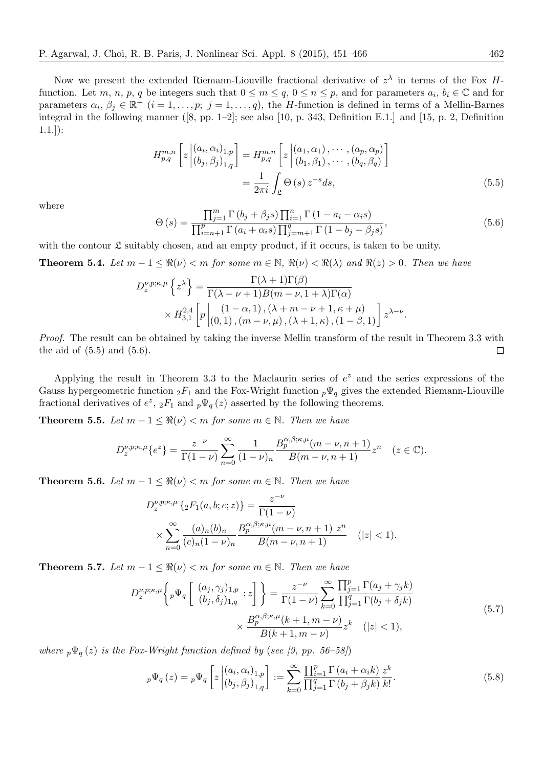Now we present the extended Riemann-Liouville fractional derivative of *z λ* in terms of the Fox *H*function. Let *m*, *n*, *p*, *q* be integers such that  $0 \le m \le q$ ,  $0 \le n \le p$ , and for parameters  $a_i, b_i \in \mathbb{C}$  and for parameters  $\alpha_i, \beta_j \in \mathbb{R}^+$   $(i = 1, \ldots, p; j = 1, \ldots, q)$ , the *H*-function is defined in terms of a Mellin-Barnes integral in the following manner  $([8, pp. 1-2]$ ; see also [10, p. 343, Definition E.1.] and [15, p. 2, Definition  $1.1.$ ]):

$$
H_{p,q}^{m,n}\left[z\left| \begin{array}{c} (a_i, \alpha_i)_{1,p} \\ (b_j, \beta_j)_{1,q} \end{array} \right] = H_{p,q}^{m,n}\left[z\left| \begin{array}{c} (a_1, \alpha_1), \cdots, (a_p, \alpha_p) \\ (b_1, \beta_1), \cdots, (b_q, \beta_q) \end{array} \right] \right]
$$
  
= 
$$
\frac{1}{2\pi i} \int_{\mathfrak{L}} \Theta\left(s\right) z^{-s} ds,
$$
 (5.5)

where

$$
\Theta\left(s\right) = \frac{\prod_{j=1}^{m} \Gamma\left(b_j + \beta_j s\right) \prod_{i=1}^{n} \Gamma\left(1 - a_i - \alpha_i s\right)}{\prod_{i=n+1}^{p} \Gamma\left(a_i + \alpha_i s\right) \prod_{j=m+1}^{q} \Gamma\left(1 - b_j - \beta_j s\right)},\tag{5.6}
$$

with the contour  $\mathfrak L$  suitably chosen, and an empty product, if it occurs, is taken to be unity.

**Theorem 5.4.** Let  $m-1 \leq \Re(\nu) < m$  for some  $m \in \mathbb{N}$ ,  $\Re(\nu) < \Re(\lambda)$  and  $\Re(z) > 0$ . Then we have

$$
D_z^{\nu,p;\kappa,\mu}\left\{z^{\lambda}\right\} = \frac{\Gamma(\lambda+1)\Gamma(\beta)}{\Gamma(\lambda-\nu+1)B(m-\nu,1+\lambda)\Gamma(\alpha)} \times H_{3,1}^{2,4}\left[p\left|\begin{array}{l}\left(1-\alpha,1\right),\left(\lambda+m-\nu+1,\kappa+\mu\right)\right.\\ \left(0,1\right),\left(m-\nu,\mu\right),\left(\lambda+1,\kappa\right),\left(1-\beta,1\right)\end{array}\right]z^{\lambda-\nu}.
$$

*Proof.* The result can be obtained by taking the inverse Mellin transform of the result in Theorem 3.3 with the aid of  $(5.5)$  and  $(5.6)$ .  $\Box$ 

Applying the result in Theorem 3.3 to the Maclaurin series of  $e^z$  and the series expressions of the Gauss hypergeometric function  ${}_2F_1$  and the Fox-Wright function  ${}_p\Psi_q$  gives the extended Riemann-Liouville fractional derivatives of  $e^z$ ,  ${}_2F_1$  and  ${}_p\Psi_q(z)$  asserted by the following theorems.

**Theorem 5.5.** *Let*  $m-1 \leq \Re(\nu) < m$  *for some*  $m \in \mathbb{N}$ *. Then we have* 

$$
D_z^{\nu,p;\kappa,\mu}\{e^z\} = \frac{z^{-\nu}}{\Gamma(1-\nu)} \sum_{n=0}^{\infty} \frac{1}{(1-\nu)_n} \frac{B_p^{\alpha,\beta;\kappa,\mu}(m-\nu,n+1)}{B(m-\nu,n+1)} z^n \quad (z \in \mathbb{C}).
$$

**Theorem 5.6.** *Let*  $m - 1 \leq \Re(\nu) < m$  *for some*  $m \in \mathbb{N}$ *. Then we have* 

$$
D_z^{\nu,p;\kappa,\mu} \left\{ {}_2F_1(a,b;c;z) \right\} = \frac{z^{-\nu}}{\Gamma(1-\nu)}
$$
  
 
$$
\times \sum_{n=0}^{\infty} \frac{(a)_n (b)_n}{(c)_n (1-\nu)_n} \frac{B_p^{\alpha,\beta;\kappa,\mu}(m-\nu,n+1) \ z^n}{B(m-\nu,n+1)} \quad (|z|<1).
$$

**Theorem 5.7.** *Let*  $m-1 \leq \Re(\nu) < m$  *for some*  $m \in \mathbb{N}$ *. Then we have* 

$$
D_{z}^{\nu,p;\kappa,\mu} \left\{ p \Psi_{q} \left[ \begin{array}{c} (a_{j}, \gamma_{j})_{1,p} \\ (b_{j}, \delta_{j})_{1,q} \end{array} ; z \right] \right\} = \frac{z^{-\nu}}{\Gamma(1-\nu)} \sum_{k=0}^{\infty} \frac{\prod_{j=1}^{p} \Gamma(a_{j} + \gamma_{j}k)}{\prod_{j=1}^{q} \Gamma(b_{j} + \delta_{j}k)} \\ \times \frac{B_{p}^{\alpha,\beta;\kappa,\mu}(k+1, m-\nu)}{B(k+1, m-\nu)} z^{k} \quad (|z| < 1), \end{array} \tag{5.7}
$$

*where*  $p\Psi_q(z)$  *is the Fox-Wright function defined by* (*see [9, pp. 56–58]*)

$$
{}_{p}\Psi_{q}\left(z\right) = {}_{p}\Psi_{q}\left[z\left|\begin{array}{c} \left(a_{i}, \alpha_{i}\right)_{1, p} \\ \left(b_{j}, \beta_{j}\right)_{1, q}\end{array}\right\right] := \sum_{k=0}^{\infty} \frac{\prod_{i=1}^{p} \Gamma\left(a_{i} + \alpha_{i} k\right)}{\prod_{j=1}^{q} \Gamma\left(b_{j} + \beta_{j} k\right)} \frac{z^{k}}{k!}.\tag{5.8}
$$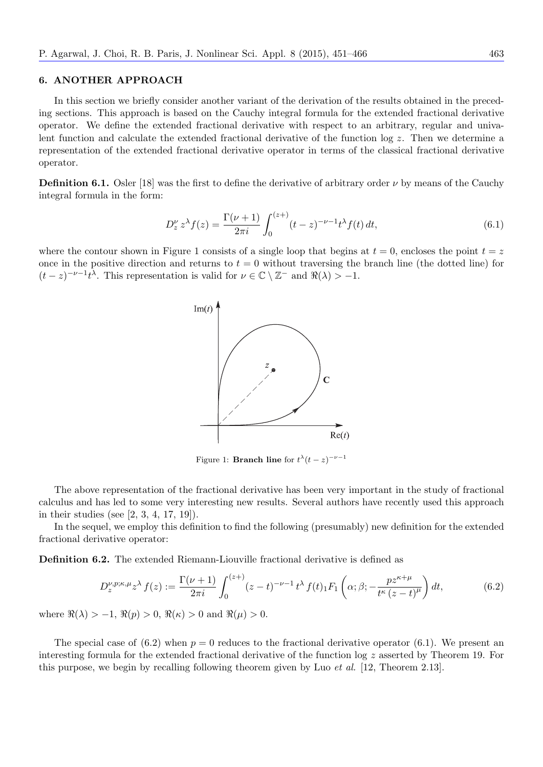#### **6. ANOTHER APPROACH**

In this section we briefly consider another variant of the derivation of the results obtained in the preceding sections. This approach is based on the Cauchy integral formula for the extended fractional derivative operator. We define the extended fractional derivative with respect to an arbitrary, regular and univalent function and calculate the extended fractional derivative of the function log *z*. Then we determine a representation of the extended fractional derivative operator in terms of the classical fractional derivative operator.

**Definition 6.1.** Osler [18] was the first to define the derivative of arbitrary order  $\nu$  by means of the Cauchy integral formula in the form:

$$
D_z^{\nu} z^{\lambda} f(z) = \frac{\Gamma(\nu + 1)}{2\pi i} \int_0^{(z+)} (t - z)^{-\nu - 1} t^{\lambda} f(t) dt,
$$
\n(6.1)

where the contour shown in Figure 1 consists of a single loop that begins at  $t = 0$ , encloses the point  $t = z$ once in the positive direction and returns to  $t = 0$  without traversing the branch line (the dotted line) for  $(t-z)^{-\nu-1}t^{\lambda}$ . This representation is valid for  $\nu \in \mathbb{C} \setminus \mathbb{Z}^-$  and  $\Re(\lambda) > -1$ .



Figure 1: **Branch line** for  $t^{\lambda}(t-z)^{-\nu-1}$ 

The above representation of the fractional derivative has been very important in the study of fractional calculus and has led to some very interesting new results. Several authors have recently used this approach in their studies (see [2, 3, 4, 17, 19]).

In the sequel, we employ this definition to find the following (presumably) new definition for the extended fractional derivative operator:

**Definition 6.2.** The extended Riemann-Liouville fractional derivative is defined as

$$
D_z^{\nu,p;\kappa,\mu}z^{\lambda}f(z) := \frac{\Gamma(\nu+1)}{2\pi i} \int_0^{(z+)} (z-t)^{-\nu-1} t^{\lambda} f(t) \cdot F_1\left(\alpha;\beta; -\frac{pz^{\kappa+\mu}}{t^{\kappa}(z-t)^{\mu}}\right) dt,\tag{6.2}
$$

where  $\Re(\lambda) > -1$ ,  $\Re(p) > 0$ ,  $\Re(\kappa) > 0$  and  $\Re(\mu) > 0$ .

The special case of  $(6.2)$  when  $p = 0$  reduces to the fractional derivative operator  $(6.1)$ . We present an interesting formula for the extended fractional derivative of the function log *z* asserted by Theorem 19. For this purpose, we begin by recalling following theorem given by Luo *et al.* [12, Theorem 2.13].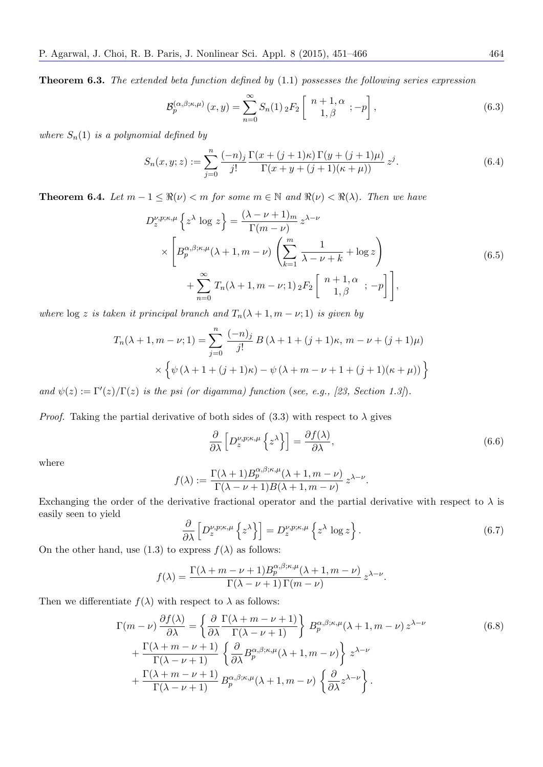**Theorem 6.3.** *The extended beta function defined by* (1.1) *possesses the following series expression*

$$
\mathcal{B}_{p}^{(\alpha,\beta;\kappa,\mu)}(x,y) = \sum_{n=0}^{\infty} S_n(1) \, _2F_2\left[\begin{array}{c} n+1,\alpha\\1,\beta\end{array};-p\right],\tag{6.3}
$$

*where*  $S_n(1)$  *is a polynomial defined by* 

$$
S_n(x, y; z) := \sum_{j=0}^n \frac{(-n)_j}{j!} \frac{\Gamma(x + (j+1)\kappa) \Gamma(y + (j+1)\mu)}{\Gamma(x + y + (j+1)(\kappa + \mu))} z^j.
$$
(6.4)

**Theorem 6.4.** *Let*  $m-1 \leq \Re(\nu) < m$  *for some*  $m \in \mathbb{N}$  *and*  $\Re(\nu) < \Re(\lambda)$ *. Then we have* 

$$
D_z^{\nu,p;\kappa,\mu} \left\{ z^{\lambda} \log z \right\} = \frac{(\lambda - \nu + 1)_m}{\Gamma(m - \nu)} z^{\lambda - \nu}
$$
  
 
$$
\times \left[ B_p^{\alpha,\beta;\kappa,\mu}(\lambda + 1, m - \nu) \left( \sum_{k=1}^m \frac{1}{\lambda - \nu + k} + \log z \right) + \sum_{n=0}^\infty T_n(\lambda + 1, m - \nu; 1) \, _2F_2 \left[ \begin{array}{c} n + 1, \alpha \\ 1, \beta \end{array} ; -p \right] \right],
$$
 (6.5)

*where*  $\log z$  *is taken it principal branch and*  $T_n(\lambda + 1, m - \nu; 1)$  *is given by* 

$$
T_n(\lambda + 1, m - \nu; 1) = \sum_{j=0}^n \frac{(-n)_j}{j!} B(\lambda + 1 + (j+1)\kappa, m - \nu + (j+1)\mu)
$$
  
 
$$
\times \left\{ \psi(\lambda + 1 + (j+1)\kappa) - \psi(\lambda + m - \nu + 1 + (j+1)(\kappa + \mu)) \right\}
$$

*and*  $\psi(z) := \Gamma'(z)/\Gamma(z)$  *is the psi (or digamma) function (see, e.g., [23, Section 1.3]).* 

*Proof.* Taking the partial derivative of both sides of  $(3.3)$  with respect to  $\lambda$  gives

$$
\frac{\partial}{\partial \lambda} \left[ D_z^{\nu, p; \kappa, \mu} \left\{ z^{\lambda} \right\} \right] = \frac{\partial f(\lambda)}{\partial \lambda},\tag{6.6}
$$

where

$$
f(\lambda) := \frac{\Gamma(\lambda+1)B_p^{\alpha,\beta;\kappa,\mu}(\lambda+1,m-\nu)}{\Gamma(\lambda-\nu+1)B(\lambda+1,m-\nu)} z^{\lambda-\nu}.
$$

Exchanging the order of the derivative fractional operator and the partial derivative with respect to  $\lambda$  is easily seen to yield

$$
\frac{\partial}{\partial \lambda} \left[ D_z^{\nu, p; \kappa, \mu} \left\{ z^{\lambda} \right\} \right] = D_z^{\nu, p; \kappa, \mu} \left\{ z^{\lambda} \log z \right\}.
$$
\n(6.7)

On the other hand, use (1.3) to express  $f(\lambda)$  as follows:

$$
f(\lambda) = \frac{\Gamma(\lambda + m - \nu + 1)B_p^{\alpha, \beta; \kappa, \mu}(\lambda + 1, m - \nu)}{\Gamma(\lambda - \nu + 1)\Gamma(m - \nu)} z^{\lambda - \nu}.
$$

Then we differentiate  $f(\lambda)$  with respect to  $\lambda$  as follows:

$$
\Gamma(m-\nu)\frac{\partial f(\lambda)}{\partial \lambda} = \left\{ \frac{\partial}{\partial \lambda} \frac{\Gamma(\lambda+m-\nu+1)}{\Gamma(\lambda-\nu+1)} \right\} B_p^{\alpha,\beta;\kappa,\mu}(\lambda+1,m-\nu) z^{\lambda-\nu} \n+ \frac{\Gamma(\lambda+m-\nu+1)}{\Gamma(\lambda-\nu+1)} \left\{ \frac{\partial}{\partial \lambda} B_p^{\alpha,\beta;\kappa,\mu}(\lambda+1,m-\nu) \right\} z^{\lambda-\nu} \n+ \frac{\Gamma(\lambda+m-\nu+1)}{\Gamma(\lambda-\nu+1)} B_p^{\alpha,\beta;\kappa,\mu}(\lambda+1,m-\nu) \left\{ \frac{\partial}{\partial \lambda} z^{\lambda-\nu} \right\}.
$$
\n(6.8)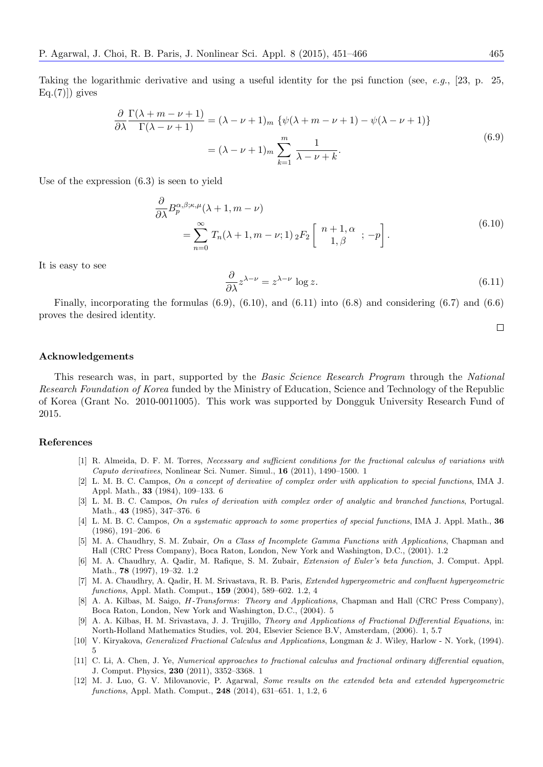Taking the logarithmic derivative and using a useful identity for the psi function (see, *e.g.*, [23, p. 25,  $Eq.(7)]$ ) gives

$$
\frac{\partial}{\partial \lambda} \frac{\Gamma(\lambda + m - \nu + 1)}{\Gamma(\lambda - \nu + 1)} = (\lambda - \nu + 1)_m \{ \psi(\lambda + m - \nu + 1) - \psi(\lambda - \nu + 1) \}
$$
  
=  $(\lambda - \nu + 1)_m \sum_{k=1}^m \frac{1}{\lambda - \nu + k}.$  (6.9)

Use of the expression (6.3) is seen to yield

$$
\frac{\partial}{\partial \lambda} B_p^{\alpha,\beta;\kappa,\mu}(\lambda+1,m-\nu)
$$
  
=
$$
\sum_{n=0}^{\infty} T_n(\lambda+1,m-\nu;1) {}_2F_2\left[\begin{array}{c}n+1,\alpha\\1,\beta\end{array};-p\right].
$$
 (6.10)

It is easy to see

$$
\frac{\partial}{\partial \lambda} z^{\lambda - \nu} = z^{\lambda - \nu} \log z.
$$
 (6.11)

Finally, incorporating the formulas  $(6.9)$ ,  $(6.10)$ , and  $(6.11)$  into  $(6.8)$  and considering  $(6.7)$  and  $(6.6)$ proves the desired identity.

## **Acknowledgements**

This research was, in part, supported by the *Basic Science Research Program* through the *National Research Foundation of Korea* funded by the Ministry of Education, Science and Technology of the Republic of Korea (Grant No. 2010-0011005). This work was supported by Dongguk University Research Fund of 2015.

#### **References**

- [1] R. Almeida, D. F. M. Torres, *Necessary and sufficient conditions for the fractional calculus of variations with Caputo derivatives*, Nonlinear Sci. Numer. Simul., **16** (2011), 1490–1500. 1
- [2] L. M. B. C. Campos, *On a concept of derivative of complex order with application to special functions*, IMA J. Appl. Math., **33** (1984), 109–133. 6
- [3] L. M. B. C. Campos, *On rules of derivation with complex order of analytic and branched functions*, Portugal. Math., **43** (1985), 347–376. 6
- [4] L. M. B. C. Campos, *On a systematic approach to some properties of special functions*, IMA J. Appl. Math., **36** (1986), 191–206. 6
- [5] M. A. Chaudhry, S. M. Zubair, *On a Class of Incomplete Gamma Functions with Applications*, Chapman and Hall (CRC Press Company), Boca Raton, London, New York and Washington, D.C., (2001). 1.2
- [6] M. A. Chaudhry, A. Qadir, M. Rafique, S. M. Zubair, *Extension of Euler's beta function*, J. Comput. Appl. Math., **78** (1997), 19–32. 1.2
- [7] M. A. Chaudhry, A. Qadir, H. M. Srivastava, R. B. Paris, *Extended hypergeometric and confluent hypergeometric functions*, Appl. Math. Comput., **159** (2004), 589–602. 1.2, 4
- [8] A. A. Kilbas, M. Saigo, *H-Transforms*: *Theory and Applications*, Chapman and Hall (CRC Press Company), Boca Raton, London, New York and Washington, D.C., (2004). 5
- [9] A. A. Kilbas, H. M. Srivastava, J. J. Trujillo, *Theory and Applications of Fractional Differential Equations*, in: North-Holland Mathematics Studies, vol. 204, Elsevier Science B.V, Amsterdam, (2006). 1, 5.7
- [10] V. Kiryakova, *Generalized Fractional Calculus and Applications*, Longman & J. Wiley, Harlow N. York, (1994). 5
- [11] C. Li, A. Chen, J. Ye, *Numerical approaches to fractional calculus and fractional ordinary differential equation*, J. Comput. Physics, **230** (2011), 3352–3368. 1
- [12] M. J. Luo, G. V. Milovanovic, P. Agarwal, *Some results on the extended beta and extended hypergeometric functions*, Appl. Math. Comput., **248** (2014), 631–651. 1, 1.2, 6